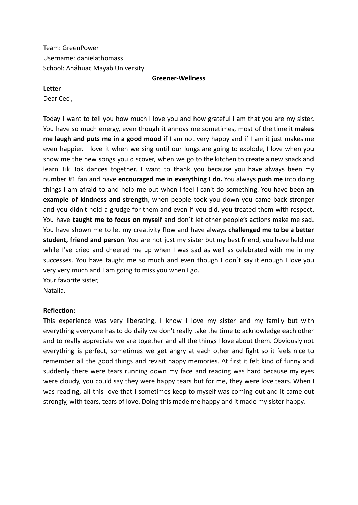Team: GreenPower Username: danielathomass School: Anáhuac Mayab University

## **Greener-Wellness**

## **Letter**

Dear Ceci,

Today I want to tell you how much I love you and how grateful I am that you are my sister. You have so much energy, even though it annoys me sometimes, most of the time it **makes me laugh and puts me in a good mood** if I am not very happy and if I am it just makes me even happier. I love it when we sing until our lungs are going to explode, I love when you show me the new songs you discover, when we go to the kitchen to create a new snack and learn Tik Tok dances together. I want to thank you because you have always been my number #1 fan and have **encouraged me in everything I do.** You always **push me** into doing things I am afraid to and help me out when I feel I can't do something. You have been **an example of kindness and strength**, when people took you down you came back stronger and you didn't hold a grudge for them and even if you did, you treated them with respect. You have **taught me to focus on myself** and don´t let other people's actions make me sad. You have shown me to let my creativity flow and have always **challenged me to be a better student, friend and person**. You are not just my sister but my best friend, you have held me while I've cried and cheered me up when I was sad as well as celebrated with me in my successes. You have taught me so much and even though I don´t say it enough I love you very very much and I am going to miss you when I go. Your favorite sister,

Natalia.

## **Reflection:**

This experience was very liberating, I know I love my sister and my family but with everything everyone has to do daily we don't really take the time to acknowledge each other and to really appreciate we are together and all the things I love about them. Obviously not everything is perfect, sometimes we get angry at each other and fight so it feels nice to remember all the good things and revisit happy memories. At first it felt kind of funny and suddenly there were tears running down my face and reading was hard because my eyes were cloudy, you could say they were happy tears but for me, they were love tears. When I was reading, all this love that I sometimes keep to myself was coming out and it came out strongly, with tears, tears of love. Doing this made me happy and it made my sister happy.